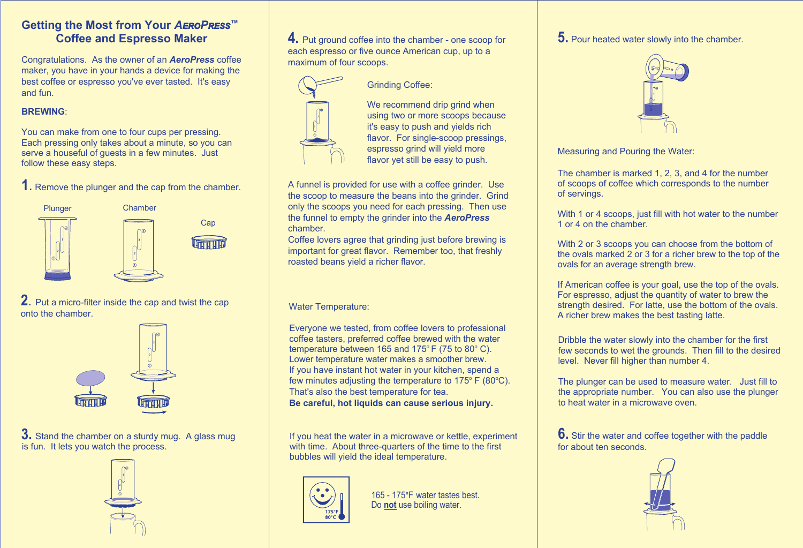# **Getting the Most from Your** *AEROPRESS™* **Coffee and Espresso Maker**

Congratulations. As the owner of an *AeroPress* coffee maker, you have in your hands a device for making the best coffee or espresso you've ever tasted. It's easy and fun.

## **BREWING**:

You can make from one to four cups per pressing. Each pressing only takes about a minute, so you can serve a houseful of guests in a few minutes. Just follow these easy steps.

**1**. Remove the plunger and the cap from the chamber.



**2**. Put <sup>a</sup> micro-filter inside the cap and twist the cap onto the chamber.



**3.** Stand the chamber on a sturdy mug. A glass mug is fun. It lets you watch the process.



**4.** Put ground coffee into the chamber - one scoop for each espresso or five ounce American cup, up to a maximum of four scoops.



# Grinding Coffee:

We recommend drip grind when using two or more scoops because it's easy to push and yields rich flavor. For single-scoop pressings, espresso grind will yield more flavor yet still be easy to push.

A funnel is provided for use with a coffee grinder. Use the scoop to measure the beans into the grinder. Grind only the scoops you need for each pressing. Then use the funnel to empty the grinder into the *AeroPress* chamber.

Coffee lovers agree that grinding just before brewing is important for great flavor. Remember too, that freshly roasted beans yield a richer flavor.

### Water Temperature:

Everyone we tested, from coffee lovers to professional coffee tasters, preferred coffee brewed with the water temperature between 165 and 175 $\degree$  F (75 to 80 $\degree$  C). Lower temperature water makes a smoother brew. If you have instant hot water in your kitchen, spend a few minutes adjusting the temperature to  $175^{\circ}$  F (80 $^{\circ}$ C). That's also the best temperature for tea. **Be careful, hot liquids can cause serious injury.**

If you heat the water in a microwave or kettle, experiment with time. About three-quarters of the time to the first bubbles will yield the ideal temperature.



165 - 175°F water tastes best. Do **not** use boiling water.

**5.** Pour heated water slowly into the chamber.



Measuring and Pouring the Water:

The chamber is marked 1, 2, 3, and 4 for the number of scoops of coffee which corresponds to the number of servings.

With 1 or 4 scoops, just fill with hot water to the number 1 or 4 on the chamber.

With 2 or 3 scoops you can choose from the bottom of the ovals marked 2 or 3 for a richer brew to the top of the ovals for an average strength brew.

If American coffee is your goal, use the top of the ovals. For espresso, adjust the quantity of water to brew the strength desired. For latte, use the bottom of the ovals. A richer brew makes the best tasting latte.

Dribble the water slowly into the chamber for the first few seconds to wet the grounds. Then fill to the desired level. Never fill higher than number 4.

The plunger can be used to measure water. Just fill to the appropriate number. You can also use the plunger to heat water in a microwave oven.

**6.** Stir the water and coffee together with the paddle for about ten seconds.